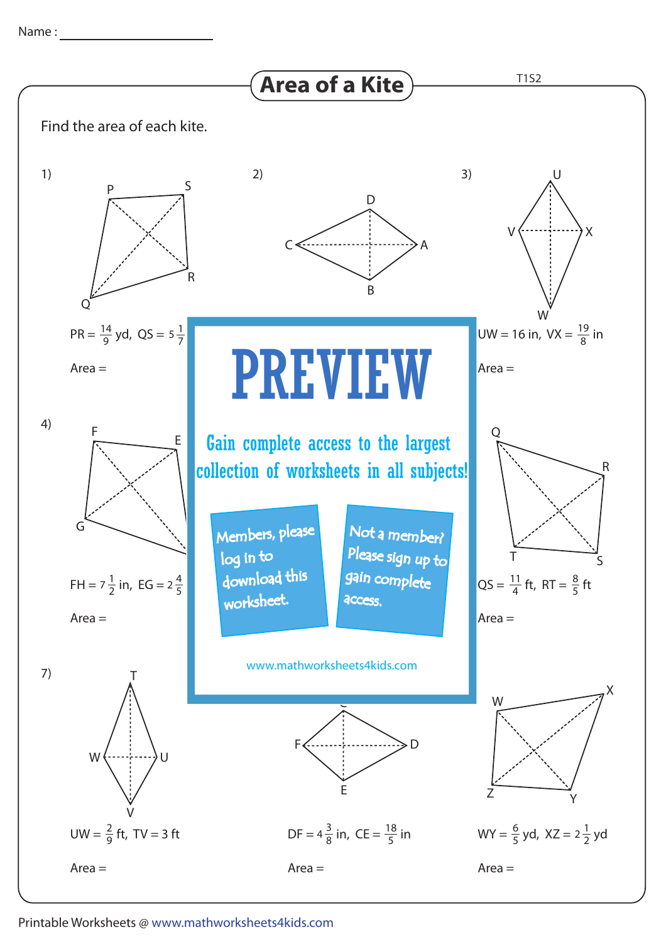